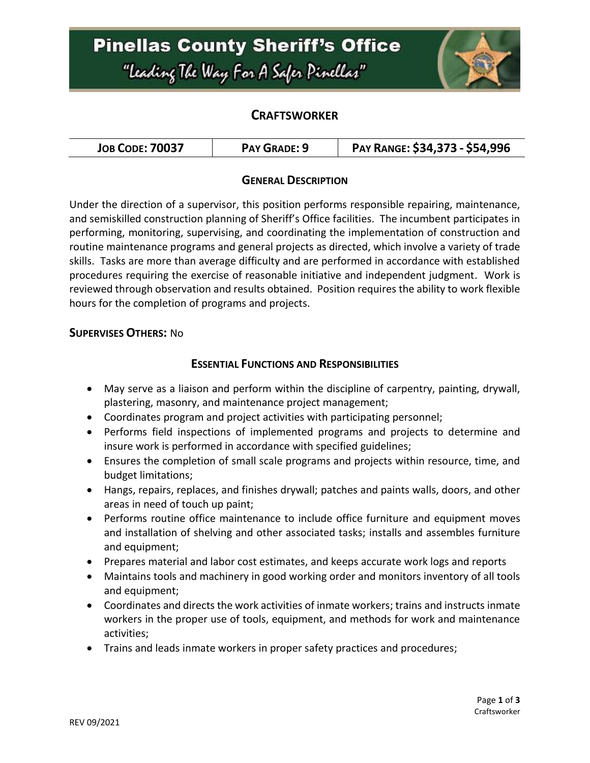# **Pinellas County Sheriff's Office** "Leading The Way For A Safer Pinellar"



### **CRAFTSWORKER**

| <b>JOB CODE: 70037</b> | PAY GRADE: 9 | PAY RANGE: \$34,373 - \$54,996 |
|------------------------|--------------|--------------------------------|
|------------------------|--------------|--------------------------------|

### **GENERAL DESCRIPTION**

Under the direction of a supervisor, this position performs responsible repairing, maintenance, and semiskilled construction planning of Sheriff's Office facilities. The incumbent participates in performing, monitoring, supervising, and coordinating the implementation of construction and routine maintenance programs and general projects as directed, which involve a variety of trade skills. Tasks are more than average difficulty and are performed in accordance with established procedures requiring the exercise of reasonable initiative and independent judgment. Work is reviewed through observation and results obtained. Position requires the ability to work flexible hours for the completion of programs and projects.

#### **SUPERVISES OTHERS:** No

#### **ESSENTIAL FUNCTIONS AND RESPONSIBILITIES**

- May serve as a liaison and perform within the discipline of carpentry, painting, drywall, plastering, masonry, and maintenance project management;
- Coordinates program and project activities with participating personnel;
- Performs field inspections of implemented programs and projects to determine and insure work is performed in accordance with specified guidelines;
- Ensures the completion of small scale programs and projects within resource, time, and budget limitations;
- Hangs, repairs, replaces, and finishes drywall; patches and paints walls, doors, and other areas in need of touch up paint;
- Performs routine office maintenance to include office furniture and equipment moves and installation of shelving and other associated tasks; installs and assembles furniture and equipment;
- Prepares material and labor cost estimates, and keeps accurate work logs and reports
- Maintains tools and machinery in good working order and monitors inventory of all tools and equipment;
- Coordinates and directs the work activities of inmate workers; trains and instructs inmate workers in the proper use of tools, equipment, and methods for work and maintenance activities;
- Trains and leads inmate workers in proper safety practices and procedures;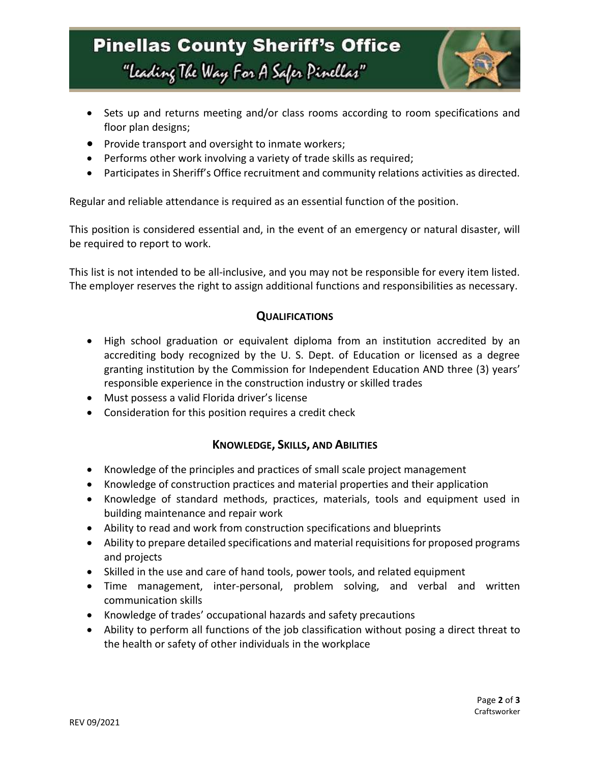# **Pinellas County Sheriff's Office** "Leading The Way For A Safer Pinellar"



- Sets up and returns meeting and/or class rooms according to room specifications and floor plan designs;
- Provide transport and oversight to inmate workers;
- Performs other work involving a variety of trade skills as required;
- Participates in Sheriff's Office recruitment and community relations activities as directed.

Regular and reliable attendance is required as an essential function of the position.

This position is considered essential and, in the event of an emergency or natural disaster, will be required to report to work.

This list is not intended to be all-inclusive, and you may not be responsible for every item listed. The employer reserves the right to assign additional functions and responsibilities as necessary.

### **QUALIFICATIONS**

- High school graduation or equivalent diploma from an institution accredited by an accrediting body recognized by the U. S. Dept. of Education or licensed as a degree granting institution by the Commission for Independent Education AND three (3) years' responsible experience in the construction industry or skilled trades
- Must possess a valid Florida driver's license
- Consideration for this position requires a credit check

### **KNOWLEDGE, SKILLS, AND ABILITIES**

- Knowledge of the principles and practices of small scale project management
- Knowledge of construction practices and material properties and their application
- Knowledge of standard methods, practices, materials, tools and equipment used in building maintenance and repair work
- Ability to read and work from construction specifications and blueprints
- Ability to prepare detailed specifications and material requisitions for proposed programs and projects
- Skilled in the use and care of hand tools, power tools, and related equipment
- Time management, inter-personal, problem solving, and verbal and written communication skills
- Knowledge of trades' occupational hazards and safety precautions
- Ability to perform all functions of the job classification without posing a direct threat to the health or safety of other individuals in the workplace